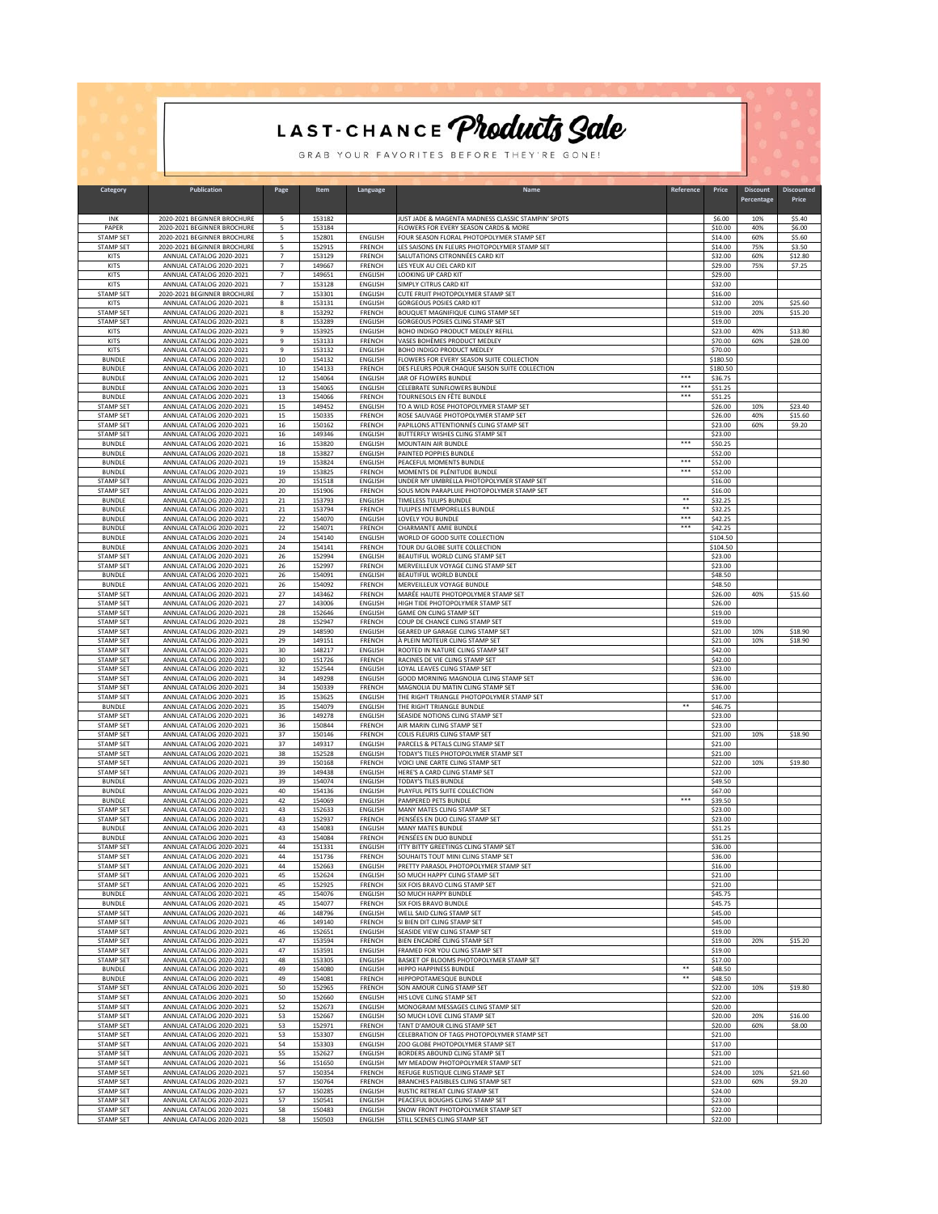|                                      | LAST-CHANCE Products Sale<br>GRAB YOUR FAVORITES BEFORE THEY'RE GONE! |                                  |                  |                                  |                                                                                             |                      |                      |                               |                            |  |  |
|--------------------------------------|-----------------------------------------------------------------------|----------------------------------|------------------|----------------------------------|---------------------------------------------------------------------------------------------|----------------------|----------------------|-------------------------------|----------------------------|--|--|
|                                      |                                                                       |                                  |                  |                                  |                                                                                             |                      |                      |                               |                            |  |  |
| Category                             | <b>Publication</b>                                                    | Page                             | Item             | Language                         | Name                                                                                        | Reference            | Price                | <b>Discount</b><br>Percentage | <b>Discounted</b><br>Price |  |  |
| INK<br>PAPER                         | 2020-2021 BEGINNER BROCHURE<br>2020-2021 BEGINNER BROCHURE            | 5<br>5                           | 153182<br>153184 |                                  | JUST JADE & MAGENTA MADNESS CLASSIC STAMPIN' SPOTS<br>FLOWERS FOR EVERY SEASON CARDS & MORE |                      | \$6.00<br>\$10.00    | 10%<br>40%                    | \$5.40<br>\$6.00           |  |  |
| STAMP SET                            | 2020-2021 BEGINNER BROCHURE<br>2020-2021 BEGINNER BROCHURE            | 5                                | 152801           | ENGLISH                          | FOUR SEASON FLORAL PHOTOPOLYMER STAMP SET                                                   |                      | \$14.00              | 60%                           | \$5.60                     |  |  |
| <b>STAMP SET</b><br>KITS             | ANNUAL CATALOG 2020-2021                                              | 5<br>$\overline{7}$              | 152915<br>153129 | FRENCH<br>FRENCH                 | LES SAISONS EN FLEURS PHOTOPOLYMER STAMP SET<br>SALUTATIONS CITRONNÉES CARD KIT             |                      | \$14.00<br>\$32.00   | 75%<br>60%                    | \$3.50<br>\$12.80          |  |  |
| KITS<br>KITS                         | ANNUAL CATALOG 2020-2021<br>ANNUAL CATALOG 2020-2021                  | $\overline{7}$<br>$\overline{7}$ | 149667<br>149651 | FRENCH<br>ENGLISH                | LES YEUX AU CIEL CARD KIT<br>LOOKING UP CARD KIT                                            |                      | \$29.00<br>\$29.00   | 75%                           | \$7.25                     |  |  |
| KITS<br><b>STAMP SET</b>             | ANNUAL CATALOG 2020-2021<br>2020-2021 BEGINNER BROCHURE               | $\overline{7}$<br>$\overline{7}$ | 153128<br>153301 | ENGLISH<br>ENGLISH               | SIMPLY CITRUS CARD KIT<br>CUTE FRUIT PHOTOPOLYMER STAMP SET                                 |                      | \$32.00<br>\$16.00   |                               |                            |  |  |
| KITS                                 | ANNUAL CATALOG 2020-2021                                              | 8                                | 153131           | ENGLISH                          | GORGEOUS POSIES CARD KIT                                                                    |                      | \$32.00              | 20%                           | \$25.60                    |  |  |
| <b>STAMP SET</b><br><b>STAMP SET</b> | ANNUAL CATALOG 2020-2021<br>ANNUAL CATALOG 2020-2021                  | 8<br>8                           | 153292<br>153289 | FRENCH<br>ENGLISH                | BOUQUET MAGNIFIQUE CLING STAMP SET<br>GORGEOUS POSIES CLING STAMP SET                       |                      | \$19.00<br>\$19.00   | 20%                           | \$15.20                    |  |  |
| KITS<br>KITS                         | ANNUAL CATALOG 2020-2021<br>ANNUAL CATALOG 2020-2021                  | 9<br>9                           | 153925<br>153133 | ENGLISH<br>FRENCH                | BOHO INDIGO PRODUCT MEDLEY REFILL<br>VASES BOHÈMES PRODUCT MEDLEY                           |                      | \$23.00<br>\$70.00   | 40%<br>60%                    | \$13.80<br>\$28.00         |  |  |
| KITS<br><b>BUNDLE</b>                | ANNUAL CATALOG 2020-2021<br>ANNUAL CATALOG 2020-2021                  | 9<br>$10\,$                      | 153132<br>154132 | ENGLISH<br>ENGLISH               | BOHO INDIGO PRODUCT MEDLEY<br>FLOWERS FOR EVERY SEASON SUITE COLLECTION                     |                      | \$70.00<br>\$180.50  |                               |                            |  |  |
| <b>BUNDLE</b>                        | ANNUAL CATALOG 2020-2021                                              | 10                               | 154133           | FRENCH                           | DES FLEURS POUR CHAQUE SAISON SUITE COLLECTION                                              |                      | \$180.50             |                               |                            |  |  |
| <b>BUNDLE</b><br><b>BUNDLE</b>       | ANNUAL CATALOG 2020-2021<br>ANNUAL CATALOG 2020-2021                  | 12<br>13                         | 154064<br>154065 | ENGLISH<br>ENGLISH               | JAR OF FLOWERS BUNDLE<br>CELEBRATE SUNFLOWERS BUNDLE                                        | ***<br>***           | \$36.75<br>\$51.25   |                               |                            |  |  |
| <b>BUNDLE</b><br>STAMP SET           | ANNUAL CATALOG 2020-2021<br>ANNUAL CATALOG 2020-2021                  | 13<br>15                         | 154066<br>149452 | FRENCH<br>ENGLISH                | <b>TOURNESOLS EN FÊTE BUNDLE</b><br>TO A WILD ROSE PHOTOPOLYMER STAMP SET                   | ***                  | \$51.25<br>\$26.00   | 10%                           | \$23.40                    |  |  |
| <b>STAMP SET</b>                     | ANNUAL CATALOG 2020-2021                                              | 15                               | 150335           | FRENCH                           | ROSE SAUVAGE PHOTOPOLYMER STAMP SET                                                         |                      | \$26.00              | 40%                           | \$15.60                    |  |  |
| <b>STAMP SET</b><br><b>STAMP SET</b> | ANNUAL CATALOG 2020-2021<br>ANNUAL CATALOG 2020-2021                  | $16\,$<br>$16\,$                 | 150162<br>149346 | FRENCH<br>ENGLISH                | PAPILLONS ATTENTIONNÉS CLING STAMP SET<br>BUTTERFLY WISHES CLING STAMP SET                  |                      | \$23.00<br>\$23.00   | 60%                           | \$9.20                     |  |  |
| <b>BUNDLE</b><br><b>BUNDLE</b>       | ANNUAL CATALOG 2020-2021<br>ANNUAL CATALOG 2020-2021                  | $16\,$<br>$18\,$                 | 153820<br>153827 | ENGLISH<br>ENGLISH               | MOUNTAIN AIR BUNDLE<br>PAINTED POPPIES BUNDLE                                               | ***                  | \$50.25<br>\$52.00   |                               |                            |  |  |
| <b>BUNDLE</b>                        | ANNUAL CATALOG 2020-2021                                              | 19                               | 153824           | ENGLISH                          | PEACEFUL MOMENTS BUNDLE                                                                     | ***<br>***           | \$52.00              |                               |                            |  |  |
| <b>BUNDLE</b><br>STAMP SET           | ANNUAL CATALOG 2020-2021<br>ANNUAL CATALOG 2020-2021                  | 19<br>20                         | 153825<br>151518 | FRENCH<br>ENGLISH                | MOMENTS DE PLÉNITUDE BUNDLE<br>UNDER MY UMBRELLA PHOTOPOLYMER STAMP SET                     |                      | \$52.00<br>\$16.00   |                               |                            |  |  |
| <b>STAMP SET</b><br><b>BUNDLE</b>    | ANNUAL CATALOG 2020-2021<br>ANNUAL CATALOG 2020-2021                  | 20<br>$\bf{21}$                  | 151906<br>153793 | FRENCH<br>ENGLISH                | SOUS MON PARAPLUIE PHOTOPOLYMER STAMP SET<br>TIMELESS TULIPS BUNDLE                         | **                   | \$16.00<br>\$32.25   |                               |                            |  |  |
| <b>BUNDLE</b><br><b>BUNDLE</b>       | ANNUAL CATALOG 2020-2021<br>ANNUAL CATALOG 2020-2021                  | 21<br>22                         | 153794<br>154070 | FRENCH<br>ENGLISH                | TULIPES INTEMPORELLES BUNDLE<br>LOVELY YOU BUNDLE                                           | **<br>$***$          | \$32.25<br>\$42.25   |                               |                            |  |  |
| <b>BUNDLE</b>                        | ANNUAL CATALOG 2020-2021                                              | 22                               | 154071           | FRENCH                           | CHARMANTE AMIE BUNDLE                                                                       |                      | \$42.25              |                               |                            |  |  |
| <b>BUNDLE</b><br><b>BUNDLE</b>       | ANNUAL CATALOG 2020-2021<br>ANNUAL CATALOG 2020-2021                  | 24<br>24                         | 154140<br>154141 | ENGLISH<br>FRENCH                | WORLD OF GOOD SUITE COLLECTION<br>TOUR DU GLOBE SUITE COLLECTION                            |                      | \$104.50<br>\$104.50 |                               |                            |  |  |
| STAMP SET<br><b>STAMP SET</b>        | ANNUAL CATALOG 2020-2021<br>ANNUAL CATALOG 2020-2021                  | 26<br>26                         | 152994<br>152997 | ENGLISH<br>FRENCH                | BEAUTIFUL WORLD CLING STAMP SET<br>MERVEILLEUX VOYAGE CLING STAMP SET                       |                      | \$23.00<br>\$23.00   |                               |                            |  |  |
| <b>BUNDLE</b><br><b>BUNDLE</b>       | ANNUAL CATALOG 2020-2021<br>ANNUAL CATALOG 2020-2021                  | 26<br>26                         | 154091<br>154092 | ENGLISH<br>FRENCH                | BEAUTIFUL WORLD BUNDLE<br>MERVEILLEUX VOYAGE BUNDLE                                         |                      | \$48.50<br>\$48.50   |                               |                            |  |  |
| STAMP SET                            | ANNUAL CATALOG 2020-2021                                              | 27                               | 143462           | FRENCH                           | MARÉE HAUTE PHOTOPOLYMER STAMP SET                                                          |                      | \$26.00              | 40%                           | \$15.60                    |  |  |
| <b>STAMP SET</b><br><b>STAMP SET</b> | ANNUAL CATALOG 2020-2021<br>ANNUAL CATALOG 2020-2021                  | 27<br>28                         | 143006<br>152646 | ENGLISH<br>ENGLISH               | HIGH TIDE PHOTOPOLYMER STAMP SET<br>GAME ON CLING STAMP SET                                 |                      | \$26.00<br>\$19.00   |                               |                            |  |  |
| <b>STAMP SET</b><br><b>STAMP SET</b> | ANNUAL CATALOG 2020-2021<br>ANNUAL CATALOG 2020-2021                  | 28<br>29                         | 152947<br>148590 | FRENCH<br>ENGLISH                | COUP DE CHANCE CLING STAMP SET<br>GEARED UP GARAGE CLING STAMP SET                          |                      | \$19.00<br>\$21.00   | 10%                           | \$18.90                    |  |  |
| <b>STAMP SET</b><br><b>STAMP SET</b> | ANNUAL CATALOG 2020-2021<br>ANNUAL CATALOG 2020-2021                  | 29<br>30                         | 149151<br>148217 | FRENCH<br>ENGLISH                | À PLEIN MOTEUR CLING STAMP SET<br>ROOTED IN NATURE CLING STAMP SET                          |                      | \$21.00<br>\$42.00   | 10%                           | \$18.90                    |  |  |
| <b>STAMP SET</b>                     | ANNUAL CATALOG 2020-2021                                              | 30                               | 151726           | FRENCH                           | RACINES DE VIE CLING STAMP SET                                                              |                      | \$42.00              |                               |                            |  |  |
| <b>STAMP SET</b><br><b>STAMP SET</b> | ANNUAL CATALOG 2020-2021<br>ANNUAL CATALOG 2020-2021                  | 32<br>34                         | 152544<br>149298 | ENGLISH<br>ENGLISH               | LOYAL LEAVES CLING STAMP SET<br>GOOD MORNING MAGNOLIA CLING STAMP SET                       |                      | \$23.00<br>\$36.00   |                               |                            |  |  |
| <b>STAMP SET</b><br><b>STAMP SET</b> | ANNUAL CATALOG 2020-2021<br>ANNUAL CATALOG 2020-2021                  | 34<br>35                         | 150339<br>153625 | FRENCH<br>ENGLISH                | MAGNOLIA DU MATIN CLING STAMP SET<br>THE RIGHT TRIANGLE PHOTOPOLYMER STAMP SET              |                      | \$36.00<br>\$17.00   |                               |                            |  |  |
| <b>BUNDLE</b><br><b>STAMP SET</b>    | ANNUAL CATALOG 2020-2021<br>ANNUAL CATALOG 2020-2021                  | 35<br>36                         | 154079<br>149278 | <b>ENGLISH</b><br><b>ENGLISH</b> | THE RIGHT TRIANGLE BUNDLE<br>SEASIDE NOTIONS CLING STAMP SET                                | **                   | \$46.75<br>\$23.00   |                               |                            |  |  |
| <b>STAMP SET</b>                     | ANNUAL CATALOG 2020-2021                                              | 36                               | 150844           | FRENCH                           | AIR MARIN CLING STAMP SET                                                                   |                      | \$23.00              |                               |                            |  |  |
| <b>STAMP SET</b><br><b>STAMP SET</b> | ANNUAL CATALOG 2020-2021<br>ANNUAL CATALOG 2020-2021                  | 37<br>37                         | 150146<br>149317 | FRENCH<br>ENGLISH                | COLIS FLEURIS CLING STAMP SET<br>PARCELS & PETALS CLING STAMP SET                           |                      | \$21.00<br>\$21.00   | 10%                           | \$18.90                    |  |  |
| <b>STAMP SET</b><br><b>STAMP SET</b> | ANNUAL CATALOG 2020-2021<br>ANNUAL CATALOG 2020-2021                  | 38<br>39                         | 152528<br>150168 | ENGLISH<br>FRENCH                | TODAY'S TILES PHOTOPOLYMER STAMP SET<br>VOICI UNE CARTE CLING STAMP SET                     |                      | \$21.00<br>\$22.00   | 10%                           | \$19.80                    |  |  |
| STAMP SE<br><b>BUNDLE</b>            | ANNUAL CATALOG 2020-2021<br>ANNUAL CATALOG 2020-2021                  | 39<br>39                         | 149438<br>154074 | ENGLISH<br>ENGLISH               | HERE'S A CARD CLING STAMP SE'<br>TODAY'S TILES BUNDLE                                       |                      | \$22.00<br>\$49.50   |                               |                            |  |  |
| <b>BUNDLE</b>                        | ANNUAL CATALOG 2020-2021                                              | 40                               | 154136           | ENGLISH                          | PLAYFUL PETS SUITE COLLECTION                                                               | ***                  | \$67.00              |                               |                            |  |  |
| <b>BUNDLE</b><br><b>STAMP SET</b>    | ANNUAL CATALOG 2020-2021<br>ANNUAL CATALOG 2020-2021                  | 42<br>43                         | 154069<br>152633 | ENGLISH<br>ENGLISH               | PAMPERED PETS BUNDLE<br>MANY MATES CLING STAMP SET                                          |                      | \$39.50<br>\$23.00   |                               |                            |  |  |
| <b>STAMP SET</b><br><b>BUNDLE</b>    | ANNUAL CATALOG 2020-2021<br>ANNUAL CATALOG 2020-2021                  | 43<br>43                         | 152937<br>154083 | FRENCH<br>ENGLISH                | PENSÉES EN DUO CLING STAMP SET<br>MANY MATES BUNDLE                                         |                      | \$23.00<br>\$51.25   |                               |                            |  |  |
| <b>BUNDLE</b><br><b>STAMP SET</b>    | ANNUAL CATALOG 2020-2021<br>ANNUAL CATALOG 2020-2021                  | 43<br>44                         | 154084<br>151331 | FRENCH<br>ENGLISH                | PENSÉES EN DUO BUNDLE<br>ITTY BITTY GREETINGS CLING STAMP SET                               |                      | \$51.25<br>\$36.00   |                               |                            |  |  |
| <b>STAMP SET</b>                     | ANNUAL CATALOG 2020-2021                                              | 44                               | 151736           | FRENCH                           | SOUHAITS TOUT MINI CLING STAMP SET                                                          |                      | \$36.00              |                               |                            |  |  |
| <b>STAMP SET</b><br><b>STAMP SET</b> | ANNUAL CATALOG 2020-2021<br>ANNUAL CATALOG 2020-2021                  | 44<br>45                         | 152663<br>152624 | ENGLISH<br>ENGLISH               | PRETTY PARASOL PHOTOPOLYMER STAMP SET<br>SO MUCH HAPPY CLING STAMP SET                      |                      | \$16.00<br>\$21.00   |                               |                            |  |  |
| <b>STAMP SET</b><br><b>BUNDLE</b>    | ANNUAL CATALOG 2020-2021<br>ANNUAL CATALOG 2020-2021                  | 45<br>45                         | 152925<br>154076 | FRENCH<br>ENGLISH                | SIX FOIS BRAVO CLING STAMP SET<br>SO MUCH HAPPY BUNDLE                                      |                      | \$21.00<br>\$45.75   |                               |                            |  |  |
| <b>BUNDLE</b>                        | ANNUAL CATALOG 2020-2021                                              | 45                               | 154077           | FRENCH                           | SIX FOIS BRAVO BUNDLE                                                                       |                      | \$45.75              |                               |                            |  |  |
| <b>STAMP SET</b><br><b>STAMP SET</b> | ANNUAL CATALOG 2020-2021<br>ANNUAL CATALOG 2020-2021                  | 46<br>46                         | 148796<br>149140 | ENGLISH<br>FRENCH                | WELL SAID CLING STAMP SET<br>SI BIEN DIT CLING STAMP SET                                    |                      | \$45.00<br>\$45.00   |                               |                            |  |  |
| <b>STAMP SET</b><br><b>STAMP SET</b> | ANNUAL CATALOG 2020-2021<br>ANNUAL CATALOG 2020-2021                  | 46<br>47                         | 152651<br>153594 | ENGLISH<br>FRENCH                | SEASIDE VIEW CLING STAMP SET<br>BIEN ENCADRÉ CLING STAMP SET                                |                      | \$19.00<br>\$19.00   | 20%                           | \$15.20                    |  |  |
| <b>STAMP SET</b><br><b>STAMP SET</b> | ANNUAL CATALOG 2020-2021<br>ANNUAL CATALOG 2020-2021                  | 47<br>48                         | 153591<br>153305 | ENGLISH<br>ENGLISH               | FRAMED FOR YOU CLING STAMP SET<br>BASKET OF BLOOMS PHOTOPOLYMER STAMP SET                   |                      | \$19.00<br>\$17.00   |                               |                            |  |  |
| <b>BUNDLE</b>                        | ANNUAL CATALOG 2020-2021                                              | 49                               | 154080           | ENGLISH                          | HIPPO HAPPINESS BUNDLE                                                                      | **                   | \$48.50              |                               |                            |  |  |
| <b>BUNDLE</b><br>STAMP SET           | ANNUAL CATALOG 2020-2021<br>ANNUAL CATALOG 2020-2021                  | 49<br>50                         | 154081<br>152965 | FRENCH<br>FRENCH                 | HIPPOPOTAMESQUE BUNDLE<br>SON AMOUR CLING STAMP SET                                         | $\ddot{\phantom{1}}$ | \$48.50<br>\$22.00   | 10%                           | \$19.80                    |  |  |
| <b>STAMP SET</b><br><b>STAMP SET</b> | ANNUAL CATALOG 2020-2021<br>ANNUAL CATALOG 2020-2021                  | 50<br>52                         | 152660<br>152673 | ENGLISH<br>ENGLISH               | HIS LOVE CLING STAMP SET<br>MONOGRAM MESSAGES CLING STAMP SET                               |                      | \$22.00<br>\$20.00   |                               |                            |  |  |
| <b>STAMP SET</b>                     | ANNUAL CATALOG 2020-2021                                              | 53                               | 152667           | ENGLISH                          | SO MUCH LOVE CLING STAMP SET                                                                |                      | \$20.00              | 20%                           | \$16.00                    |  |  |
| <b>STAMP SET</b><br><b>STAMP SET</b> | ANNUAL CATALOG 2020-2021<br>ANNUAL CATALOG 2020-2021                  | 53<br>53                         | 152971<br>153307 | FRENCH<br>ENGLISH                | TANT D'AMOUR CLING STAMP SET<br>CELEBRATION OF TAGS PHOTOPOLYMER STAMP SET                  |                      | \$20.00<br>\$21.00   | 60%                           | \$8.00                     |  |  |
| STAMP SET<br>STAMP SET               | ANNUAL CATALOG 2020-2021<br>ANNUAL CATALOG 2020-2021                  | 54<br>55                         | 153303<br>152627 | ENGLISH<br>ENGLISH               | ZOO GLOBE PHOTOPOLYMER STAMP SET<br>BORDERS ABOUND CLING STAMP SET                          |                      | \$17.00<br>\$21.00   |                               |                            |  |  |
| <b>STAMP SET</b><br><b>STAMP SET</b> | ANNUAL CATALOG 2020-2021<br>ANNUAL CATALOG 2020-2021                  | 56<br>57                         | 151650<br>150354 | ENGLISH<br>FRENCH                | MY MEADOW PHOTOPOLYMER STAMP SET<br>REFUGE RUSTIQUE CLING STAMP SET                         |                      | \$21.00<br>\$24.00   | 10%                           | \$21.60                    |  |  |
| <b>STAMP SET</b>                     | ANNUAL CATALOG 2020-2021                                              | 57                               | 150764           | FRENCH                           | BRANCHES PAISIBLES CLING STAMP SET                                                          |                      | \$23.00              | 60%                           | \$9.20                     |  |  |
| <b>STAMP SET</b><br><b>STAMP SET</b> | ANNUAL CATALOG 2020-2021<br>ANNUAL CATALOG 2020-2021                  | 57<br>57                         | 150285<br>150541 | ENGLISH<br>ENGLISH               | RUSTIC RETREAT CLING STAMP SET<br>PEACEFUL BOUGHS CLING STAMP SET                           |                      | \$24.00<br>\$23.00   |                               |                            |  |  |
| <b>STAMP SET</b><br><b>STAMP SET</b> | ANNUAL CATALOG 2020-2021<br>ANNUAL CATALOG 2020-2021                  | 58<br>58                         | 150483<br>150503 | ENGLISH<br>ENGLISH               | SNOW FRONT PHOTOPOLYMER STAMP SET<br>STILL SCENES CLING STAMP SET                           |                      | \$22.00<br>\$22.00   |                               |                            |  |  |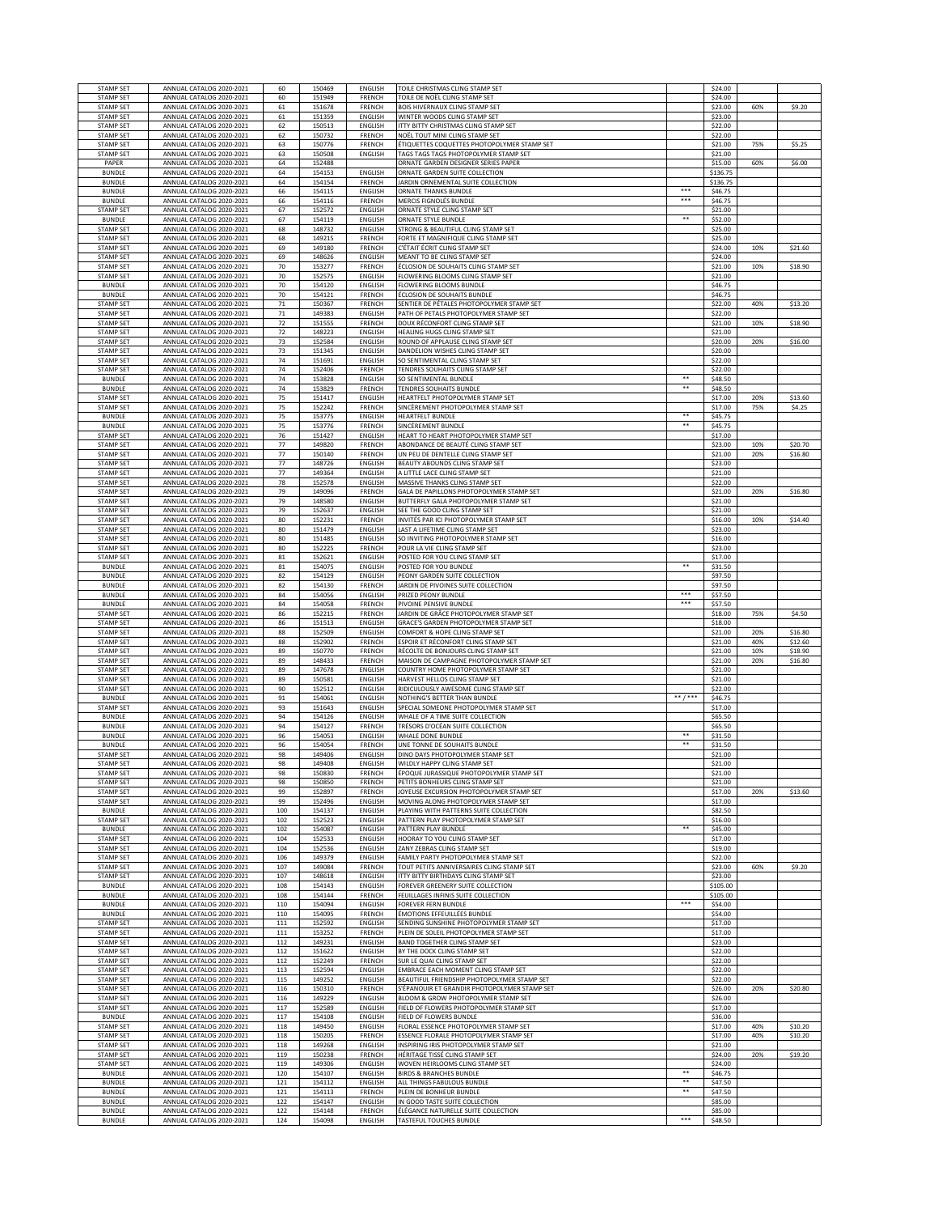| <b>STAMP SET</b>                     | ANNUAL CATALOG 2020-2021                             | 60                | 150469           | ENGLISH                         | TOILE CHRISTMAS CLING STAMP SET                                                             |                | \$24.00              |            |                    |
|--------------------------------------|------------------------------------------------------|-------------------|------------------|---------------------------------|---------------------------------------------------------------------------------------------|----------------|----------------------|------------|--------------------|
| <b>STAMP SET</b>                     | ANNUAL CATALOG 2020-2021                             | 60                | 151949           | FRENCH                          | TOILE DE NOËL CLING STAMP SET                                                               |                | \$24.00              |            |                    |
| STAMP SET                            | ANNUAL CATALOG 2020-2021                             | 61                | 151678           | FRENCH                          | BOIS HIVERNAUX CLING STAMP SET                                                              |                | \$23.00              | 60%        | \$9.20             |
| <b>STAMP SET</b><br><b>STAMP SET</b> | ANNUAL CATALOG 2020-2021<br>ANNUAL CATALOG 2020-2021 | 61<br>62          | 151359<br>150513 | ENGLISH<br>ENGLISH              | WINTER WOODS CLING STAMP SET<br>ITTY BITTY CHRISTMAS CLING STAMP SET                        |                | \$23.00<br>\$22.00   |            |                    |
| <b>STAMP SET</b>                     | ANNUAL CATALOG 2020-2021                             | 62                | 150732           | FRENCH                          | NOËL TOUT MINI CLING STAMP SET                                                              |                | \$22.00              |            |                    |
| <b>STAMP SET</b>                     | ANNUAL CATALOG 2020-2021                             | 63                | 150776           | FRENCH                          | ÉTIQUETTES COQUETTES PHOTOPOLYMER STAMP SET                                                 |                | \$21.00              | 75%        | \$5.25             |
| <b>STAMP SET</b>                     | ANNUAL CATALOG 2020-2021                             | 63                | 150508           | ENGLISH                         | TAGS TAGS TAGS PHOTOPOLYMER STAMP SET                                                       |                | \$21.00              |            |                    |
| PAPER                                | ANNUAL CATALOG 2020-2021                             | 64                | 152488           |                                 | ORNATE GARDEN DESIGNER SERIES PAPER                                                         |                | \$15.00              | 60%        | \$6.00             |
| <b>BUNDLE</b><br><b>BUNDLE</b>       | ANNUAL CATALOG 2020-2021<br>ANNUAL CATALOG 2020-2021 | 64<br>64          | 154153<br>154154 | ENGLISH<br>FRENCH               | ORNATE GARDEN SUITE COLLECTION<br>JARDIN ORNEMENTAL SUITE COLLECTION                        |                | \$136.75<br>\$136.75 |            |                    |
| <b>BUNDLE</b>                        | ANNUAL CATALOG 2020-2021                             | 66                | 154115           | ENGLISH                         | <b>ORNATE THANKS BUNDLE</b>                                                                 |                | \$46.75              |            |                    |
| <b>BUNDLE</b>                        | ANNUAL CATALOG 2020-2021                             | 66                | 154116           | FRENCH                          | MERCIS FIGNOLÉS BUNDLE                                                                      | ***            | \$46.75              |            |                    |
| <b>STAMP SET</b>                     | ANNUAL CATALOG 2020-2021                             | 67                | 152572           | ENGLISH                         | ORNATE STYLE CLING STAMP SET                                                                |                | \$21.00              |            |                    |
| <b>BUNDLE</b>                        | ANNUAL CATALOG 2020-2021                             | 67                | 154119           | <b>ENGLISH</b>                  | ORNATE STYLE BUNDLE                                                                         | $\ast$         | \$52.00              |            |                    |
| STAMP SET<br><b>STAMP SET</b>        | ANNUAL CATALOG 2020-2021<br>ANNUAL CATALOG 2020-2021 | 68<br>68          | 148732<br>149215 | <b>ENGLISH</b><br>FRENCH        | STRONG & BEAUTIFUL CLING STAMP SET<br>FORTE ET MAGNIFIQUE CLING STAMP SET                   |                | \$25.00<br>\$25.00   |            |                    |
| <b>STAMP SET</b>                     | ANNUAL CATALOG 2020-2021                             | 69                | 149180           | FRENCH                          | C'ÉTAIT ÉCRIT CLING STAMP SET                                                               |                | \$24.00              | 10%        | \$21.60            |
| <b>STAMP SET</b>                     | ANNUAL CATALOG 2020-2021                             | 69                | 148626           | <b>ENGLISH</b>                  | MEANT TO BE CLING STAMP SET                                                                 |                | \$24.00              |            |                    |
| STAMP SET                            | ANNUAL CATALOG 2020-2021                             | 70                | 153277           | <b>FRENCH</b>                   | ÉCLOSION DE SOUHAITS CLING STAMP SET                                                        |                | \$21.00              | 10%        | \$18.90            |
| STAMP SET                            | ANNUAL CATALOG 2020-2021                             | 70                | 152575           | ENGLISH                         | FLOWERING BLOOMS CLING STAMP SET                                                            |                | \$21.00              |            |                    |
| <b>BUNDLE</b>                        | ANNUAL CATALOG 2020-2021                             | 70                | 154120           | ENGLISH                         | <b>FLOWERING BLOOMS BUNDLE</b>                                                              |                | \$46.75              |            |                    |
| <b>BUNDLE</b><br><b>STAMP SET</b>    | ANNUAL CATALOG 2020-2021<br>ANNUAL CATALOG 2020-2021 | 70<br>$71$        | 154121<br>150367 | FRENCH<br>FRENCH                | ÉCLOSION DE SOUHAITS BUNDLE<br>SENTIER DE PÉTALES PHOTOPOLYMER STAMP SET                    |                | \$46.75<br>\$22.00   | 40%        | \$13.20            |
| <b>STAMP SET</b>                     | ANNUAL CATALOG 2020-2021                             | $71\,$            | 149383           | ENGLISH                         | PATH OF PETALS PHOTOPOLYMER STAMP SET                                                       |                | \$22.00              |            |                    |
| STAMP SET                            | ANNUAL CATALOG 2020-2021                             | 72                | 151555           | FRENCH                          | DOUX RÉCONFORT CLING STAMP SET                                                              |                | \$21.00              | 10%        | \$18.90            |
| <b>STAMP SET</b>                     | ANNUAL CATALOG 2020-2021                             | 72                | 148223           | <b>ENGLISH</b>                  | HEALING HUGS CLING STAMP SET                                                                |                | \$21.00              |            |                    |
| <b>STAMP SET</b>                     | ANNUAL CATALOG 2020-2021                             | 73                | 152584           | ENGLISH                         | ROUND OF APPLAUSE CLING STAMP SET                                                           |                | \$20.00              | 20%        | \$16.00            |
| <b>STAMP SET</b>                     | ANNUAL CATALOG 2020-2021                             | 73                | 151345           | ENGLISH                         | DANDELION WISHES CLING STAMP SET                                                            |                | \$20.00              |            |                    |
| <b>STAMP SET</b><br><b>STAMP SET</b> | ANNUAL CATALOG 2020-2021<br>ANNUAL CATALOG 2020-2021 | 74<br>74          | 151691<br>152406 | ENGLISH<br>FRENCH               | SO SENTIMENTAL CLING STAMP SET<br>TENDRES SOUHAITS CLING STAMP SET                          |                | \$22.00<br>\$22.00   |            |                    |
| <b>BUNDLE</b>                        | ANNUAL CATALOG 2020-2021                             | 74                | 153828           | ENGLISH                         | SO SENTIMENTAL BUNDLE                                                                       | $\overline{1}$ | \$48.50              |            |                    |
| <b>BUNDLE</b>                        | ANNUAL CATALOG 2020-2021                             | 74                | 153829           | FRENCH                          | <b>TENDRES SOUHAITS BUNDLE</b>                                                              | $***$          | \$48.50              |            |                    |
| <b>STAMP SET</b>                     | ANNUAL CATALOG 2020-2021                             | 75                | 151417           | ENGLISH                         | HEARTFELT PHOTOPOLYMER STAMP SET                                                            |                | \$17.00              | 20%        | \$13.60            |
| <b>STAMP SET</b>                     | ANNUAL CATALOG 2020-2021                             | 75                | 152242           | FRENCH                          | SINCÈREMENT PHOTOPOLYMER STAMP SET                                                          |                | \$17.00              | 75%        | \$4.25             |
| <b>BUNDLE</b>                        | ANNUAL CATALOG 2020-2021                             | 75                | 153775           | ENGLISH                         | <b>HEARTFELT BUNDLE</b>                                                                     | **<br>**       | \$45.75              |            |                    |
| <b>BUNDLE</b><br>STAMP SET           | ANNUAL CATALOG 2020-2021<br>ANNUAL CATALOG 2020-2021 | 75<br>76          | 153776<br>151427 | FRENCH<br>ENGLISH               | SINCÈREMENT BUNDLE<br>HEART TO HEART PHOTOPOLYMER STAMP SET                                 |                | \$45.75<br>\$17.00   |            |                    |
| <b>STAMP SET</b>                     | ANNUAL CATALOG 2020-2021                             | 77                | 149820           | FRENCH                          | ABONDANCE DE BEAUTÉ CLING STAMP SET                                                         |                | \$23.00              | 10%        | \$20.70            |
| <b>STAMP SET</b>                     | ANNUAL CATALOG 2020-2021                             | 77                | 150140           | FRENCH                          | UN PEU DE DENTELLE CLING STAMP SET                                                          |                | \$21.00              | 20%        | \$16.80            |
| <b>STAMP SET</b>                     | ANNUAL CATALOG 2020-2021                             | 77                | 148726           | <b>ENGLISH</b>                  | BEAUTY ABOUNDS CLING STAMP SET                                                              |                | \$23.00              |            |                    |
| <b>STAMP SET</b>                     | ANNUAL CATALOG 2020-2021                             | 77                | 149364           | ENGLISH                         | A LITTLE LACE CLING STAMP SET                                                               |                | \$21.00              |            |                    |
| <b>STAMP SET</b><br><b>STAMP SET</b> | ANNUAL CATALOG 2020-2021<br>ANNUAL CATALOG 2020-2021 | 78<br>79          | 152578<br>149096 | ENGLISH<br>FRENCH               | MASSIVE THANKS CLING STAMP SET<br>GALA DE PAPILLONS PHOTOPOLYMER STAMP SET                  |                | \$22.00<br>\$21.00   | 20%        | \$16.80            |
| <b>STAMP SET</b>                     | ANNUAL CATALOG 2020-2021                             | 79                | 148580           | ENGLISH                         | BUTTERFLY GALA PHOTOPOLYMER STAMP SET                                                       |                | \$21.00              |            |                    |
| <b>STAMP SET</b>                     | ANNUAL CATALOG 2020-2021                             | 79                | 152637           | ENGLISH                         | SEE THE GOOD CLING STAMP SET                                                                |                | \$21.00              |            |                    |
| STAMP SET                            | ANNUAL CATALOG 2020-2021                             | 80                | 152231           | FRENCH                          | INVITÉS PAR ICI PHOTOPOLYMER STAMP SET                                                      |                | \$16.00              | 10%        | \$14.40            |
| <b>STAMP SET</b>                     | ANNUAL CATALOG 2020-2021                             | 80                | 151479           | ENGLISH                         | LAST A LIFETIME CLING STAMP SET                                                             |                | \$23.00              |            |                    |
| STAMP SET                            | ANNUAL CATALOG 2020-2021                             | 80                | 151485           | ENGLISH                         | SO INVITING PHOTOPOLYMER STAMP SET                                                          |                | \$16.00              |            |                    |
| STAMP SET<br>STAMP SET               | ANNUAL CATALOG 2020-2021                             | 80                | 152225           | FRENCH                          | POUR LA VIE CLING STAMP SET                                                                 |                | \$23.00              |            |                    |
| <b>BUNDLE</b>                        | ANNUAL CATALOG 2020-2021<br>ANNUAL CATALOG 2020-2021 | 81<br>81          | 152621<br>154075 | ENGLISH<br>ENGLISH              | POSTED FOR YOU CLING STAMP SET<br>POSTED FOR YOU BUNDLE                                     | $\ast$         | \$17.00<br>\$31.50   |            |                    |
| <b>BUNDLE</b>                        | ANNUAL CATALOG 2020-2021                             | 82                | 154129           | ENGLISH                         | PEONY GARDEN SUITE COLLECTION                                                               |                | \$97.50              |            |                    |
| <b>BUNDLE</b>                        | ANNUAL CATALOG 2020-2021                             | 82                | 154130           | FRENCH                          | JARDIN DE PIVOINES SUITE COLLECTION                                                         |                | \$97.50              |            |                    |
| <b>BUNDLE</b>                        | ANNUAL CATALOG 2020-2021                             | 84                | 154056           | <b>ENGLISH</b>                  | PRIZED PEONY BUNDLE                                                                         | $***$          | \$57.50              |            |                    |
| <b>BUNDLE</b>                        | ANNUAL CATALOG 2020-2021                             | 84                | 154058           | FRENCH                          | PIVOINE PENSIVE BUNDLE                                                                      | $***$          | \$57.50              |            |                    |
| <b>STAMP SET</b>                     | ANNUAL CATALOG 2020-2021                             | 86                | 152215           | FRENCH                          | JARDIN DE GRÂCE PHOTOPOLYMER STAMP SET                                                      |                | \$18.00              | 75%        | \$4.50             |
|                                      |                                                      |                   |                  |                                 |                                                                                             |                |                      |            |                    |
| <b>STAMP SET</b>                     | ANNUAL CATALOG 2020-2021                             | 86                | 151513           | ENGLISH                         | GRACE'S GARDEN PHOTOPOLYMER STAMP SET                                                       |                | \$18.00              |            |                    |
| <b>STAMP SET</b>                     | ANNUAL CATALOG 2020-2021                             | 88                | 152509<br>152902 | ENGLISH<br>FRENCH               | COMFORT & HOPE CLING STAMP SET                                                              |                | \$21.00              | 20%<br>40% | \$16.80            |
| STAMP SET<br>STAMP SET               | ANNUAL CATALOG 2020-2021<br>ANNUAL CATALOG 2020-2021 | 88<br>89          | 150770           | FRENCH                          | ESPOIR ET RÉCONFORT CLING STAMP SET<br>RÉCOLTE DE BONJOURS CLING STAMP SET                  |                | \$21.00<br>\$21.00   | 10%        | \$12.60<br>\$18.90 |
| STAMP SET                            | ANNUAL CATALOG 2020-2021                             | 89                | 148433           | FRENCH                          | MAISON DE CAMPAGNE PHOTOPOLYMER STAMP SET                                                   |                | \$21.00              | 20%        | \$16.80            |
| <b>STAMP SET</b>                     | ANNUAL CATALOG 2020-2021                             | 89                | 147678           | ENGLISH                         | COUNTRY HOME PHOTOPOLYMER STAMP SET                                                         |                | \$21.00              |            |                    |
| <b>STAMP SET</b>                     | ANNUAL CATALOG 2020-2021                             | 89                | 150581           | ENGLISH                         | HARVEST HELLOS CLING STAMP SET                                                              |                | \$21.00              |            |                    |
| <b>STAMP SET</b>                     | ANNUAL CATALOG 2020-2021                             | 90                | 152512           | <b>ENGLISH</b>                  | RIDICULOUSLY AWESOME CLING STAMP SET                                                        | $***$          | \$22.00              |            |                    |
| <b>BUNDLE</b><br>STAMP SET           | ANNUAL CATALOG 2020-2021<br>ANNUAL CATALOG 2020-2021 | 91<br>93          | 154061<br>151643 | ENGLISH<br>ENGLISH              | NOTHING'S BETTER THAN BUNDLE<br>SPECIAL SOMEONE PHOTOPOLYMER STAMP SET                      |                | \$46.75<br>\$17.00   |            |                    |
| <b>BUNDLE</b>                        | ANNUAL CATALOG 2020-2021                             | 94                | 154126           | ENGLISH                         | WHALE OF A TIME SUITE COLLECTION                                                            |                | \$65.50              |            |                    |
| <b>BUNDLE</b>                        | ANNUAL CATALOG 2020-2021                             | 94                | 154127           | FRENCH                          | TRÉSORS D'OCÉAN SUITE COLLECTION                                                            |                | \$65.50              |            |                    |
| <b>BUNDLE</b>                        | ANNUAL CATALOG 2020-2021                             | 96                | 154053           | ENGLISH                         | WHALE DONE BUNDLE                                                                           | **<br>**       | \$31.50              |            |                    |
| <b>BUNDLE</b><br>STAMP SET           | ANNUAL CATALOG 2020-2021<br>ANNUAL CATALOG 2020-2021 | 96<br>98          | 154054<br>149406 | FRENCH<br>ENGLISH               | UNE TONNE DE SOUHAITS BUNDLE<br>DINO DAYS PHOTOPOLYMER STAMP SET                            |                | \$31.50<br>\$21.00   |            |                    |
| STAMP SET                            | ANNUAL CATALOG 2020-2021                             | 98                | 149408           | ENGLISH                         | WILDLY HAPPY CLING STAMP SET                                                                |                | \$21.00              |            |                    |
| <b>STAMP SET</b>                     | ANNUAL CATALOG 2020-2021                             | 98                | 150830           | <b>FRENCH</b>                   | ÉPOQUE JURASSIQUE PHOTOPOLYMER STAMP SET                                                    |                | \$21.00              |            |                    |
| STAMP SET                            | ANNUAL CATALOG 2020-2021                             | 98                | 150850           | FRENCH                          | PETITS BONHEURS CLING STAMP SET                                                             |                | \$21.00              |            |                    |
| STAMP SET                            | ANNUAL CATALOG 2020-2021                             | 99                | 152897           | FRENCH                          | JOYEUSE EXCURSION PHOTOPOLYMER STAMP SET                                                    |                | \$17.00              | 20%        | \$13.60            |
| <b>STAMP SET</b><br><b>BUNDLE</b>    | ANNUAL CATALOG 2020-2021<br>ANNUAL CATALOG 2020-2021 | 99<br>100         | 152496<br>154137 | ENGLISH<br><b>ENGLISH</b>       | MOVING ALONG PHOTOPOLYMER STAMP SET<br>PLAYING WITH PATTERNS SUITE COLLECTION               |                | \$17.00<br>\$82.50   |            |                    |
| <b>STAMP SET</b>                     | ANNUAL CATALOG 2020-2021                             | 102               | 152523           | <b>ENGLISH</b>                  | PATTERN PLAY PHOTOPOLYMER STAMP SET                                                         |                | \$16.00              |            |                    |
| <b>BUNDLE</b>                        | ANNUAL CATALOG 2020-2021                             | 102               | 154087           | ENGLISH                         | PATTERN PLAY BUNDLE                                                                         | **             | \$45.00              |            |                    |
| <b>STAMP SET</b>                     | ANNUAL CATALOG 2020-2021                             | 104               | 152533           | ENGLISH                         | HOORAY TO YOU CLING STAMP SET                                                               |                | \$17.00              |            |                    |
| <b>STAMP SET</b>                     | ANNUAL CATALOG 2020-2021                             | 104               | 152536           | <b>ENGLISH</b>                  | ZANY ZEBRAS CLING STAMP SET                                                                 |                | \$19.00              |            |                    |
| <b>STAMP SET</b><br><b>STAMP SET</b> | ANNUAL CATALOG 2020-2021<br>ANNUAL CATALOG 2020-2021 | 106<br>107        | 149379<br>149084 | <b>ENGLISH</b><br>FRENCH        | FAMILY PARTY PHOTOPOLYMER STAMP SET<br>TOUT PETITS ANNIVERSAIRES CLING STAMP SET            |                | \$22.00<br>\$23.00   | 60%        | \$9.20             |
| <b>STAMP SET</b>                     | ANNUAL CATALOG 2020-2021                             | 107               | 148618           | ENGLISH                         | ITTY BITTY BIRTHDAYS CLING STAMP SET                                                        |                | \$23.00              |            |                    |
| <b>BUNDLE</b>                        | ANNUAL CATALOG 2020-2021                             | 108               | 154143           | ENGLISH                         | FOREVER GREENERY SUITE COLLECTION                                                           |                | \$105.00             |            |                    |
| <b>BUNDLE</b>                        | ANNUAL CATALOG 2020-2021                             | 108               | 154144           | FRENCH                          | FEUILLAGES INFINIS SUITE COLLECTION                                                         |                | \$105.00             |            |                    |
| <b>BUNDLE</b>                        | ANNUAL CATALOG 2020-2021                             | 110               | 154094           | <b>ENGLISH</b>                  | FOREVER FERN BUNDLE                                                                         | ***            | \$54.00              |            |                    |
| <b>BUNDLE</b><br><b>STAMP SET</b>    | ANNUAL CATALOG 2020-2021<br>ANNUAL CATALOG 2020-2021 | 110               | 154095           | FRENCH                          | ÉMOTIONS EFFEUILLÉES BUNDLE<br>SENDING SUNSHINE PHOTOPOLYMER STAMP SET                      |                | \$54.00              |            |                    |
| <b>STAMP SET</b>                     | ANNUAL CATALOG 2020-2021                             | 111<br>111        | 152592<br>153252 | <b>ENGLISH</b><br><b>FRENCH</b> | PLEIN DE SOLEIL PHOTOPOLYMER STAMP SET                                                      |                | \$17.00<br>\$17.00   |            |                    |
| <b>STAMP SET</b>                     | ANNUAL CATALOG 2020-2021                             | 112               | 149231           | <b>ENGLISH</b>                  | BAND TOGETHER CLING STAMP SET                                                               |                | \$23.00              |            |                    |
| <b>STAMP SET</b>                     | ANNUAL CATALOG 2020-2021                             | 112               | 151622           | ENGLISH                         | BY THE DOCK CLING STAMP SET                                                                 |                | \$22.00              |            |                    |
| <b>STAMP SET</b>                     | ANNUAL CATALOG 2020-2021                             | 112               | 152249           | FRENCH                          | SUR LE QUAI CLING STAMP SET                                                                 |                | \$22.00              |            |                    |
| STAMP SET                            | ANNUAL CATALOG 2020-2021                             | 113<br>115        | 152594<br>149252 | <b>ENGLISH</b><br>ENGLISH       | EMBRACE EACH MOMENT CLING STAMP SET                                                         |                | \$22.00              |            |                    |
| STAMP SET<br><b>STAMP SET</b>        | ANNUAL CATALOG 2020-2021<br>ANNUAL CATALOG 2020-2021 | 116               | 150310           | FRENCH                          | BEAUTIFUL FRIENDSHIP PHOTOPOLYMER STAMP SET<br>S'ÉPANOUIR ET GRANDIR PHOTOPOLYMER STAMP SET |                | \$22.00<br>\$26.00   | 20%        | \$20.80            |
| <b>STAMP SET</b>                     | ANNUAL CATALOG 2020-2021                             | 116               | 149229           | <b>ENGLISH</b>                  | BLOOM & GROW PHOTOPOLYMER STAMP SET                                                         |                | \$26.00              |            |                    |
| STAMP SET                            | ANNUAL CATALOG 2020-2021                             | 117               | 152589           | <b>ENGLISH</b>                  | FIELD OF FLOWERS PHOTOPOLYMER STAMP SET                                                     |                | \$17.00              |            |                    |
| <b>BUNDLE</b>                        | ANNUAL CATALOG 2020-2021                             | 117               | 154108           | ENGLISH                         | FIELD OF FLOWERS BUNDLE                                                                     |                | \$36.00              |            |                    |
| <b>STAMP SET</b>                     | ANNUAL CATALOG 2020-2021                             | 118               | 149450           | ENGLISH                         | FLORAL ESSENCE PHOTOPOLYMER STAMP SET                                                       |                | \$17.00              | 40%        | \$10.20            |
| <b>STAMP SET</b><br><b>STAMP SET</b> | ANNUAL CATALOG 2020-2021<br>ANNUAL CATALOG 2020-2021 | 118<br>118        | 150205<br>149268 | FRENCH<br>ENGLISH               | ESSENCE FLORALE PHOTOPOLYMER STAMP SET<br>INSPIRING IRIS PHOTOPOLYMER STAMP SET             |                | \$17.00<br>\$21.00   | 40%        | \$10.20            |
| <b>STAMP SET</b>                     | ANNUAL CATALOG 2020-2021                             | 119               | 150238           | FRENCH                          | HÉRITAGE TISSÉ CLING STAMP SET                                                              |                | \$24.00              | 20%        | \$19.20            |
| <b>STAMP SET</b>                     | ANNUAL CATALOG 2020-2021                             | 119               | 149306           | ENGLISH                         | WOVEN HEIRLOOMS CLING STAMP SET                                                             |                | \$24.00              |            |                    |
| <b>BUNDLE</b>                        | ANNUAL CATALOG 2020-2021                             | 120               | 154107           | ENGLISH                         | BIRDS & BRANCHES BUNDLE                                                                     | **             | \$46.75              |            |                    |
| <b>BUNDLE</b>                        | ANNUAL CATALOG 2020-2021                             | 121               | 154112           | ENGLISH                         | ALL THINGS FABULOUS BUNDLE                                                                  | **<br>**       | \$47.50              |            |                    |
| <b>BUNDLE</b><br><b>BUNDLE</b>       | ANNUAL CATALOG 2020-2021                             | 121               | 154113           | FRENCH                          | PLEIN DE BONHEUR BUNDLE                                                                     |                | \$47.50              |            |                    |
| <b>BUNDLE</b><br><b>BUNDLE</b>       | ANNUAL CATALOG 2020-2021<br>ANNUAL CATALOG 2020-2021 | 122<br>122<br>124 | 154147<br>154148 | ENGLISH<br>FRENCH<br>ENGLISH    | IN GOOD TASTE SUITE COLLECTION<br>ÉLÉGANCE NATURELLE SUITE COLLECTION                       | ***            | \$85.00<br>\$85.00   |            |                    |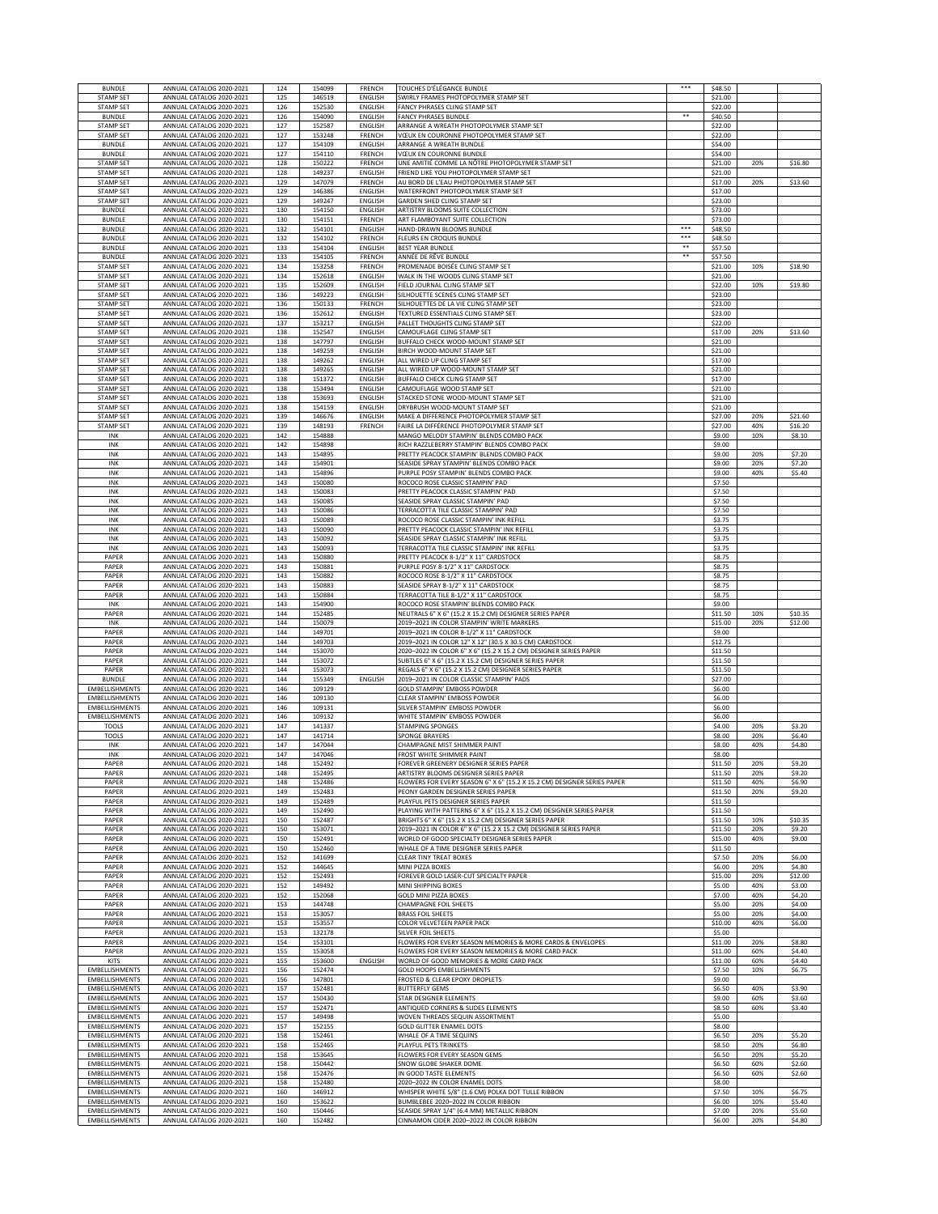| <b>BUNDLE</b>                                  | ANNUAL CATALOG 2020-2021                             | 124        | 154099           | FRENCH                    | TOUCHES D'ÉLÉGANCE BUNDLE                                                                                          | ***                 | \$48.50            |            |                  |
|------------------------------------------------|------------------------------------------------------|------------|------------------|---------------------------|--------------------------------------------------------------------------------------------------------------------|---------------------|--------------------|------------|------------------|
| STAMP SET                                      | ANNUAL CATALOG 2020-2021                             | 125        | 146519           | ENGLISH                   | SWIRLY FRAMES PHOTOPOLYMER STAMP SET                                                                               |                     | \$21.00            |            |                  |
| <b>STAMP SET</b>                               | ANNUAL CATALOG 2020-2021                             | 126        | 152530           | ENGLISH                   | FANCY PHRASES CLING STAMP SET                                                                                      | $\overline{\cdots}$ | \$22.00            |            |                  |
| <b>BUNDLE</b><br><b>STAMP SET</b>              | ANNUAL CATALOG 2020-2021<br>ANNUAL CATALOG 2020-2021 | 126<br>127 | 154090<br>152587 | ENGLISH<br><b>ENGLISH</b> | FANCY PHRASES BUNDLE<br>ARRANGE A WREATH PHOTOPOLYMER STAMP SET                                                    |                     | \$40.50<br>\$22.00 |            |                  |
| <b>STAMP SET</b>                               | ANNUAL CATALOG 2020-2021                             | 127        | 153248           | FRENCH                    | VŒUX EN COURONNE PHOTOPOLYMER STAMP SET                                                                            |                     | \$22.00            |            |                  |
| <b>BUNDLE</b>                                  | ANNUAL CATALOG 2020-2021                             | 127        | 154109           | <b>ENGLISH</b>            | ARRANGE A WREATH BUNDLE                                                                                            |                     | \$54.00            |            |                  |
| <b>BUNDLE</b>                                  | ANNUAL CATALOG 2020-2021                             | 127        | 154110           | FRENCH                    | VŒUX EN COURONNE BUNDLE                                                                                            |                     | \$54.00            |            |                  |
| <b>STAMP SET</b>                               | ANNUAL CATALOG 2020-2021                             | 128        | 150222           | FRENCH                    | UNE AMITIÉ COMME LA NÔTRE PHOTOPOLYMER STAMP SET                                                                   |                     | \$21.00            | 20%        | \$16.80          |
| STAMP SET<br>STAMP SET                         | ANNUAL CATALOG 2020-2021<br>ANNUAL CATALOG 2020-2021 | 128<br>129 | 149237<br>147079 | ENGLISH<br>FRENCH         | FRIEND LIKE YOU PHOTOPOLYMER STAMP SET<br>AU BORD DE L'EAU PHOTOPOLYMER STAMP SET                                  |                     | \$21.00<br>\$17.00 | 20%        | \$13.60          |
| <b>STAMP SET</b>                               | ANNUAL CATALOG 2020-2021                             | 129        | 146386           | ENGLISH                   | WATERFRONT PHOTOPOLYMER STAMP SET                                                                                  |                     | \$17.00            |            |                  |
| <b>STAMP SET</b>                               | ANNUAL CATALOG 2020-2021                             | 129        | 149247           | ENGLISH                   | GARDEN SHED CLING STAMP SET                                                                                        |                     | \$23.00            |            |                  |
| <b>BUNDLE</b>                                  | ANNUAL CATALOG 2020-2021                             | 130        | 154150           | ENGLISH                   | ARTISTRY BLOOMS SUITE COLLECTION                                                                                   |                     | \$73.00            |            |                  |
| <b>BUNDLE</b>                                  | ANNUAL CATALOG 2020-2021                             | 130        | 154151           | FRENCH                    | ART FLAMBOYANT SUITE COLLECTION                                                                                    | ***                 | \$73.00            |            |                  |
| <b>BUNDLE</b><br><b>BUNDLE</b>                 | ANNUAL CATALOG 2020-2021<br>ANNUAL CATALOG 2020-2021 | 132<br>132 | 154101<br>154102 | ENGLISH<br><b>FRENCH</b>  | HAND-DRAWN BLOOMS BUNDLE<br>FLEURS EN CROQUIS BUNDLE                                                               | ***                 | \$48.50<br>\$48.50 |            |                  |
| <b>BUNDLE</b>                                  | ANNUAL CATALOG 2020-2021                             | 133        | 154104           | ENGLISH                   | <b>BEST YEAR BUNDLE</b>                                                                                            | **                  | \$57.50            |            |                  |
| <b>BUNDLE</b>                                  | ANNUAL CATALOG 2020-2021                             | 133        | 154105           | FRENCH                    | ANNÉE DE RÊVE BUNDLE                                                                                               | **                  | \$57.50            |            |                  |
| <b>STAMP SET</b>                               | ANNUAL CATALOG 2020-2021                             | 134        | 153258           | FRENCH                    | PROMENADE BOISÉE CLING STAMP SET                                                                                   |                     | \$21.00            | 10%        | \$18.90          |
| <b>STAMP SET</b>                               | ANNUAL CATALOG 2020-2021                             | 134        | 152618           | ENGLISH                   | WALK IN THE WOODS CLING STAMP SET                                                                                  |                     | \$21.00            |            |                  |
| STAMP SET<br><b>STAMP SET</b>                  | ANNUAL CATALOG 2020-2021<br>ANNUAL CATALOG 2020-2021 | 135<br>136 | 152609<br>149223 | ENGLISH<br>ENGLISH        | FIELD JOURNAL CLING STAMP SET<br>SILHOUETTE SCENES CLING STAMP SET                                                 |                     | \$22.00<br>\$23.00 | 10%        | \$19.80          |
| <b>STAMP SET</b>                               | ANNUAL CATALOG 2020-2021                             | 136        | 150133           | FRENCH                    | SILHOUETTES DE LA VIE CLING STAMP SET                                                                              |                     | \$23.00            |            |                  |
| <b>STAMP SET</b>                               | ANNUAL CATALOG 2020-2021                             | 136        | 152612           | ENGLISH                   | TEXTURED ESSENTIALS CLING STAMP SET                                                                                |                     | \$23.00            |            |                  |
| <b>STAMP SET</b>                               | ANNUAL CATALOG 2020-2021                             | 137        | 153217           | ENGLISH                   | PALLET THOUGHTS CLING STAMP SET                                                                                    |                     | \$22.00            |            |                  |
| <b>STAMP SET</b>                               | ANNUAL CATALOG 2020-2021                             | 138        | 152547           | ENGLISH                   | CAMOUFLAGE CLING STAMP SET                                                                                         |                     | \$17.00            | 20%        | \$13.60          |
| <b>STAMP SET</b><br><b>STAMP SET</b>           | ANNUAL CATALOG 2020-2021<br>ANNUAL CATALOG 2020-2021 | 138<br>138 | 147797<br>149259 | ENGLISH<br>ENGLISH        | BUFFALO CHECK WOOD-MOUNT STAMP SET<br>BIRCH WOOD-MOUNT STAMP SET                                                   |                     | \$21.00<br>\$21.00 |            |                  |
| <b>STAMP SET</b>                               | ANNUAL CATALOG 2020-2021                             | 138        | 149262           | ENGLISH                   | ALL WIRED UP CLING STAMP SET                                                                                       |                     | \$17.00            |            |                  |
| <b>STAMP SET</b>                               | ANNUAL CATALOG 2020-2021                             | 138        | 149265           | ENGLISH                   | ALL WIRED UP WOOD-MOUNT STAMP SET                                                                                  |                     | \$21.00            |            |                  |
| <b>STAMP SET</b>                               | ANNUAL CATALOG 2020-2021                             | 138        | 151372           | ENGLISH                   | BUFFALO CHECK CLING STAMP SET                                                                                      |                     | \$17.00            |            |                  |
| <b>STAMP SET</b>                               | ANNUAL CATALOG 2020-2021                             | 138        | 153494           | ENGLISH                   | CAMOUFLAGE WOOD STAMP SET                                                                                          |                     | \$21.00            |            |                  |
| STAMP SET<br>STAMP SET                         | ANNUAL CATALOG 2020-2021<br>ANNUAL CATALOG 2020-2021 | 138<br>138 | 153693<br>154159 | ENGLISH<br>ENGLISH        | STACKED STONE WOOD-MOUNT STAMP SET<br>DRYBRUSH WOOD-MOUNT STAMP SET                                                |                     | \$21.00<br>\$21.00 |            |                  |
| <b>STAMP SET</b>                               | ANNUAL CATALOG 2020-2021                             | 139        | 146676           | ENGLISH                   | MAKE A DIFFERENCE PHOTOPOLYMER STAMP SET                                                                           |                     | \$27.00            | 20%        | \$21.60          |
| <b>STAMP SET</b>                               | ANNUAL CATALOG 2020-2021                             | 139        | 148193           | FRENCH                    | FAIRE LA DIFFÉRENCE PHOTOPOLYMER STAMP SET                                                                         |                     | \$27.00            | 40%        | \$16.20          |
| INK                                            | ANNUAL CATALOG 2020-2021                             | 142        | 154888           |                           | MANGO MELODY STAMPIN' BLENDS COMBO PACK                                                                            |                     | \$9.00             | 10%        | \$8.10           |
| INK                                            | ANNUAL CATALOG 2020-2021                             | 142        | 154898           |                           | RICH RAZZLEBERRY STAMPIN' BLENDS COMBO PACK                                                                        |                     | \$9.00             |            |                  |
| INK<br>INK                                     | ANNUAL CATALOG 2020-2021<br>ANNUAL CATALOG 2020-2021 | 143<br>143 | 154895<br>154901 |                           | PRETTY PEACOCK STAMPIN' BLENDS COMBO PACK<br>SEASIDE SPRAY STAMPIN' BLENDS COMBO PACK                              |                     | \$9.00<br>\$9.00   | 20%<br>20% | \$7.20<br>\$7.20 |
| INK                                            | ANNUAL CATALOG 2020-2021                             | 143        | 154896           |                           | PURPLE POSY STAMPIN' BLENDS COMBO PACK                                                                             |                     | \$9.00             | 40%        | \$5.40           |
| INK                                            | ANNUAL CATALOG 2020-2021                             | 143        | 150080           |                           | ROCOCO ROSE CLASSIC STAMPIN' PAD                                                                                   |                     | \$7.50             |            |                  |
| INK                                            | ANNUAL CATALOG 2020-2021                             | 143        | 150083           |                           | PRETTY PEACOCK CLASSIC STAMPIN' PAD                                                                                |                     | \$7.50             |            |                  |
| INK                                            | ANNUAL CATALOG 2020-2021                             | 143        | 150085           |                           | SEASIDE SPRAY CLASSIC STAMPIN' PAD                                                                                 |                     | \$7.50             |            |                  |
| INK<br>INK                                     | ANNUAL CATALOG 2020-2021<br>ANNUAL CATALOG 2020-2021 | 143<br>143 | 150086<br>150089 |                           | TERRACOTTA TILE CLASSIC STAMPIN' PAD<br>ROCOCO ROSE CLASSIC STAMPIN' INK REFIL                                     |                     | \$7.50<br>\$3.75   |            |                  |
| INK                                            | ANNUAL CATALOG 2020-2021                             | 143        | 150090           |                           | PRETTY PEACOCK CLASSIC STAMPIN' INK REFILL                                                                         |                     | \$3.75             |            |                  |
| INK                                            | ANNUAL CATALOG 2020-2021                             | 143        | 150092           |                           | SEASIDE SPRAY CLASSIC STAMPIN' INK REFILL                                                                          |                     | \$3.75             |            |                  |
| INK                                            | ANNUAL CATALOG 2020-2021                             | 143        | 150093           |                           | TERRACOTTA TILE CLASSIC STAMPIN' INK REFILL                                                                        |                     | \$3.75             |            |                  |
| PAPER                                          | ANNUAL CATALOG 2020-2021                             | 143        | 150880           |                           | PRETTY PEACOCK 8-1/2" X 11" CARDSTOCK                                                                              |                     | \$8.75             |            |                  |
| PAPER<br>PAPER                                 | ANNUAL CATALOG 2020-2021<br>ANNUAL CATALOG 2020-2021 | 143<br>143 | 150881<br>150882 |                           | PURPLE POSY 8-1/2" X 11" CARDSTOCK<br>ROCOCO ROSE 8-1/2" X 11" CARDSTOCK                                           |                     | \$8.75<br>\$8.75   |            |                  |
| PAPER                                          | ANNUAL CATALOG 2020-2021                             | 143        | 150883           |                           | SEASIDE SPRAY 8-1/2" X 11" CARDSTOCK                                                                               |                     | \$8.75             |            |                  |
| PAPER                                          | ANNUAL CATALOG 2020-2021                             | 143        | 150884           |                           | <b>FERRACOTTA TILE 8-1/2" X 11" CARDSTOCK</b>                                                                      |                     | \$8.75             |            |                  |
| INK                                            | ANNUAL CATALOG 2020-2021                             | 143        | 154900           |                           | ROCOCO ROSE STAMPIN' BLENDS COMBO PACK                                                                             |                     | \$9.00             |            |                  |
| PAPER<br>INK                                   | ANNUAL CATALOG 2020-2021                             | 144        | 152485           |                           | NEUTRALS 6" X 6" (15.2 X 15.2 CM) DESIGNER SERIES PAPER                                                            |                     | \$11.50            | 10%        | \$10.35          |
| PAPER                                          | ANNUAL CATALOG 2020-2021<br>ANNUAL CATALOG 2020-2021 | 144<br>144 | 150079<br>149701 |                           | 2019-2021 IN COLOR STAMPIN' WRITE MARKERS<br>2019-2021 IN COLOR 8-1/2" X 11" CARDSTOCK                             |                     | \$15.00<br>\$9.00  | 20%        | \$12.00          |
| PAPER                                          | ANNUAL CATALOG 2020-2021                             | 144        | 149703           |                           | 2019-2021 IN COLOR 12" X 12" (30.5 X 30.5 CM) CARDSTOCK                                                            |                     | \$12.75            |            |                  |
| PAPER                                          | ANNUAL CATALOG 2020-2021                             | 144        | 153070           |                           | 2020-2022 IN COLOR 6" X 6" (15.2 X 15.2 CM) DESIGNER SERIES PAPER                                                  |                     | \$11.50            |            |                  |
| PAPER                                          | ANNUAL CATALOG 2020-2021                             | 144        | 153072           |                           | SUBTLES 6" X 6" (15.2 X 15.2 CM) DESIGNER SERIES PAPER                                                             |                     | \$11.50            |            |                  |
| PAPER                                          | ANNUAL CATALOG 2020-2021<br>ANNUAL CATALOG 2020-2021 | 144<br>144 | 153073           | <b>ENGLISH</b>            | REGALS 6" X 6" (15.2 X 15.2 CM) DESIGNER SERIES PAPER<br>2019-2021 IN COLOR CLASSIC STAMPIN' PADS                  |                     | \$11.50            |            |                  |
| <b>BUNDLE</b><br><b>EMBELLISHMENTS</b>         | ANNUAL CATALOG 2020-2021                             | 146        | 155349<br>109129 |                           | GOLD STAMPIN' EMBOSS POWDER                                                                                        |                     | \$27.00<br>\$6.00  |            |                  |
| <b>EMBELLISHMENTS</b>                          | ANNUAL CATALOG 2020-2021                             | 146        | 109130           |                           | CLEAR STAMPIN' EMBOSS POWDER                                                                                       |                     | \$6.00             |            |                  |
| <b>EMBELLISHMENTS</b>                          | ANNUAL CATALOG 2020-2021                             | 146        | 109131           |                           | SILVER STAMPIN' EMBOSS POWDER                                                                                      |                     | \$6.00             |            |                  |
| <b>EMBELLISHMENTS</b>                          | ANNUAL CATALOG 2020-2021<br>ANNUAL CATALOG 2020-2021 | 146        | 109132           |                           | WHITE STAMPIN' EMBOSS POWDER                                                                                       |                     | \$6.00             |            |                  |
| <b>TOOLS</b><br>TOOLS                          | ANNUAL CATALOG 2020-2021                             | 147<br>147 | 141337<br>141714 |                           | <b>STAMPING SPONGES</b><br>SPONGE BRAYERS                                                                          |                     | \$4.00<br>\$8.00   | 20%<br>20% | \$3.20<br>\$6.40 |
| INK                                            | ANNUAL CATALOG 2020-2021                             | 147        | 147044           |                           | CHAMPAGNE MIST SHIMMER PAINT                                                                                       |                     | \$8.00             | 40%        | \$4.80           |
| INK                                            | ANNUAL CATALOG 2020-2021                             | 147        | 147046           |                           | FROST WHITE SHIMMER PAINT                                                                                          |                     | \$8.00             |            |                  |
| PAPER                                          | ANNUAL CATALOG 2020-2021                             | 148        | 152492           |                           | FOREVER GREENERY DESIGNER SERIES PAPER                                                                             |                     | \$11.50            | 20%        | \$9.20           |
| PAPER                                          | ANNUAL CATALOG 2020-2021                             | 148        | 152495           |                           | ARTISTRY BLOOMS DESIGNER SERIES PAPER                                                                              |                     | \$11.50            | 20%        | \$9.20           |
| PAPER<br>PAPER                                 | ANNUAL CATALOG 2020-2021<br>ANNUAL CATALOG 2020-2021 | 148<br>149 | 152486<br>152483 |                           | FLOWERS FOR EVERY SEASON 6" X 6" (15.2 X 15.2 CM) DESIGNER SERIES PAPER<br>PEONY GARDEN DESIGNER SERIES PAPER      |                     | \$11.50<br>\$11.50 | 40%<br>20% | \$6.90<br>\$9.20 |
| PAPER                                          | ANNUAL CATALOG 2020-2021                             | 149        | 152489           |                           | PLAYFUL PETS DESIGNER SERIES PAPER                                                                                 |                     | \$11.50            |            |                  |
| PAPER                                          | ANNUAL CATALOG 2020-2021                             | 149        | 152490           |                           | PLAYING WITH PATTERNS 6" X 6" (15.2 X 15.2 CM) DESIGNER SERIES PAPER                                               |                     | \$11.50            |            |                  |
| PAPER                                          | ANNUAL CATALOG 2020-2021                             | 150        | 152487           |                           | BRIGHTS 6" X 6" (15.2 X 15.2 CM) DESIGNER SERIES PAPER                                                             |                     | \$11.50            | 10%        | \$10.35          |
| PAPER<br>PAPER                                 | ANNUAL CATALOG 2020-2021<br>ANNUAL CATALOG 2020-2021 | 150<br>150 | 153071<br>152491 |                           | 2019-2021 IN COLOR 6" X 6" (15.2 X 15.2 CM) DESIGNER SERIES PAPER<br>WORLD OF GOOD SPECIALTY DESIGNER SERIES PAPER |                     | \$11.50<br>\$15.00 | 20%<br>40% | \$9.20<br>\$9.00 |
| PAPER                                          | ANNUAL CATALOG 2020-2021                             | 150        | 152460           |                           | WHALE OF A TIME DESIGNER SERIES PAPER                                                                              |                     | \$11.50            |            |                  |
| PAPER                                          | ANNUAL CATALOG 2020-2021                             | 152        | 141699           |                           | <b>CLEAR TINY TREAT BOXES</b>                                                                                      |                     | \$7.50             | 20%        | \$6.00           |
| PAPER                                          | ANNUAL CATALOG 2020-2021                             | 152        | 144645           |                           | MINI PIZZA BOXES                                                                                                   |                     | \$6.00             | 20%        | \$4.80           |
| PAPER                                          | ANNUAL CATALOG 2020-2021                             | 152        | 152493           |                           | FOREVER GOLD LASER-CUT SPECIALTY PAPER                                                                             |                     | \$15.00            | 20%        | \$12.00          |
| PAPER<br>PAPER                                 | ANNUAL CATALOG 2020-2021<br>ANNUAL CATALOG 2020-2021 | 152<br>152 | 149492<br>152068 |                           | MINI SHIPPING BOXES<br><b>GOLD MINI PIZZA BOXES</b>                                                                |                     | \$5.00<br>\$7.00   | 40%<br>40% | \$3.00<br>\$4.20 |
| PAPER                                          | ANNUAL CATALOG 2020-2021                             | 153        | 144748           |                           | <b>CHAMPAGNE FOIL SHEETS</b>                                                                                       |                     | \$5.00             | 20%        | \$4.00           |
| PAPER                                          | ANNUAL CATALOG 2020-2021                             | 153        | 153057           |                           | <b>BRASS FOIL SHEETS</b>                                                                                           |                     | \$5.00             | 20%        | \$4.00           |
| PAPER                                          | ANNUAL CATALOG 2020-2021                             | 153        | 153557           |                           | COLOR VELVETEEN PAPER PACK                                                                                         |                     | \$10.00            | 40%        | \$6.00           |
| PAPER                                          | ANNUAL CATALOG 2020-2021                             | 153        | 132178           |                           | SILVER FOIL SHEETS                                                                                                 |                     | \$5.00             |            |                  |
| PAPER<br>PAPER                                 | ANNUAL CATALOG 2020-2021<br>ANNUAL CATALOG 2020-2021 | 154<br>155 | 153101<br>153058 |                           | FLOWERS FOR EVERY SEASON MEMORIES & MORE CARDS & ENVELOPES<br>FLOWERS FOR EVERY SEASON MEMORIES & MORE CARD PACK   |                     | \$11.00<br>\$11.00 | 20%<br>60% | \$8.80<br>\$4.40 |
| KITS                                           | ANNUAL CATALOG 2020-2021                             | 155        | 153600           | ENGLISH                   | WORLD OF GOOD MEMORIES & MORE CARD PACK                                                                            |                     | \$11.00            | 60%        | \$4.40           |
| EMBELLISHMENTS                                 | ANNUAL CATALOG 2020-2021                             | 156        | 152474           |                           | <b>GOLD HOOPS EMBELLISHMENTS</b>                                                                                   |                     | \$7.50             | 10%        | \$6.75           |
| <b>EMBELLISHMENTS</b>                          | ANNUAL CATALOG 2020-2021                             | 156        | 147801           |                           | FROSTED & CLEAR EPOXY DROPLETS                                                                                     |                     | \$9.00             |            |                  |
| EMBELLISHMENTS                                 | ANNUAL CATALOG 2020-2021                             | 157        | 152481           |                           | <b>BUTTERFLY GEMS</b>                                                                                              |                     | \$6.50             | 40%        | \$3.90           |
| EMBELLISHMENTS<br>EMBELLISHMENTS               | ANNUAL CATALOG 2020-2021<br>ANNUAL CATALOG 2020-2021 | 157<br>157 | 150430<br>152471 |                           | STAR DESIGNER ELEMENTS<br>ANTIQUED CORNERS & SLIDES ELEMENTS                                                       |                     | \$9.00<br>\$8.50   | 60%<br>60% | \$3.60<br>\$3.40 |
| EMBELLISHMENTS                                 | ANNUAL CATALOG 2020-2021                             | 157        | 149498           |                           | WOVEN THREADS SEQUIN ASSORTMENT                                                                                    |                     | \$5.00             |            |                  |
| EMBELLISHMENTS                                 | ANNUAL CATALOG 2020-2021                             | 157        | 152155           |                           | GOLD GLITTER ENAMEL DOTS                                                                                           |                     | \$8.00             |            |                  |
| EMBELLISHMENTS                                 | ANNUAL CATALOG 2020-2021                             | 158        | 152461           |                           | WHALE OF A TIME SEQUINS                                                                                            |                     | \$6.50             | 20%        | \$5.20           |
| <b>EMBELLISHMENTS</b>                          | ANNUAL CATALOG 2020-2021                             | 158        | 152465           |                           | PLAYFUL PETS TRINKETS                                                                                              |                     | \$8.50             | 20%        | \$6.80           |
| <b>EMBELLISHMENTS</b><br><b>EMBELLISHMENTS</b> | ANNUAL CATALOG 2020-2021<br>ANNUAL CATALOG 2020-2021 | 158<br>158 | 153645<br>150442 |                           | FLOWERS FOR EVERY SEASON GEMS<br>SNOW GLOBE SHAKER DOME                                                            |                     | \$6.50<br>\$6.50   | 20%<br>60% | \$5.20<br>\$2.60 |
| <b>EMBELLISHMENTS</b>                          | ANNUAL CATALOG 2020-2021                             | 158        | 152476           |                           | IN GOOD TASTE ELEMENTS                                                                                             |                     | \$6.50             | 60%        | \$2.60           |
| EMBELLISHMENTS                                 | ANNUAL CATALOG 2020-2021                             | 158        | 152480           |                           | 2020-2022 IN COLOR ENAMEL DOTS                                                                                     |                     | \$8.00             |            |                  |
| EMBELLISHMENTS                                 | ANNUAL CATALOG 2020-2021                             | 160        | 146912           |                           | WHISPER WHITE 5/8" (1.6 CM) POLKA DOT TULLE RIBBON                                                                 |                     | \$7.50             | 10%        | \$6.75           |
| EMBELLISHMENTS                                 | ANNUAL CATALOG 2020-2021                             | 160        | 153622           |                           | BUMBLEBEE 2020-2022 IN COLOR RIBBON                                                                                |                     | \$6.00             | 10%        | \$5.40           |
| EMBELLISHMENTS<br>EMBELLISHMENTS               | ANNUAL CATALOG 2020-2021<br>ANNUAL CATALOG 2020-2021 | 160<br>160 | 150446<br>152482 |                           | SEASIDE SPRAY 1/4" (6.4 MM) METALLIC RIBBON<br>CINNAMON CIDER 2020-2022 IN COLOR RIBBON                            |                     | \$7.00<br>\$6.00   | 20%<br>20% | \$5.60<br>\$4.80 |
|                                                |                                                      |            |                  |                           |                                                                                                                    |                     |                    |            |                  |